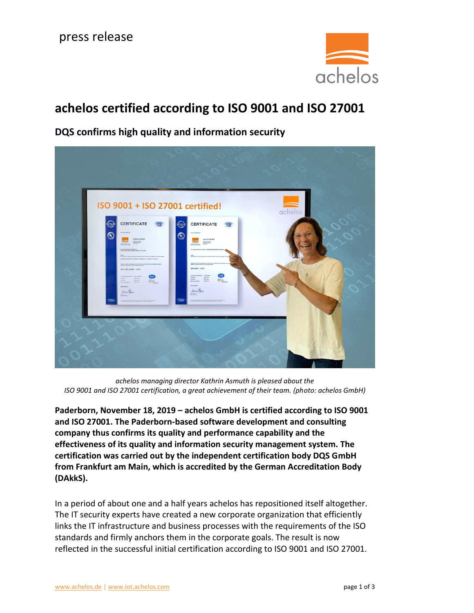

# **achelos certified according to ISO 9001 and ISO 27001**



**DQS confirms high quality and information security**

*achelos managing director Kathrin Asmuth is pleased about the ISO 9001 and ISO 27001 certification, a great achievement of their team. (photo: achelos GmbH)*

**Paderborn, November 18, 2019 – achelos GmbH is certified according to ISO 9001 and ISO 27001. The Paderborn-based software development and consulting company thus confirms its quality and performance capability and the effectiveness of its quality and information security management system. The certification was carried out by the independent certification body DQS GmbH from Frankfurt am Main, which is accredited by the German Accreditation Body (DAkkS).**

In a period of about one and a half years achelos has repositioned itself altogether. The IT security experts have created a new corporate organization that efficiently links the IT infrastructure and business processes with the requirements of the ISO standards and firmly anchors them in the corporate goals. The result is now reflected in the successful initial certification according to ISO 9001 and ISO 27001.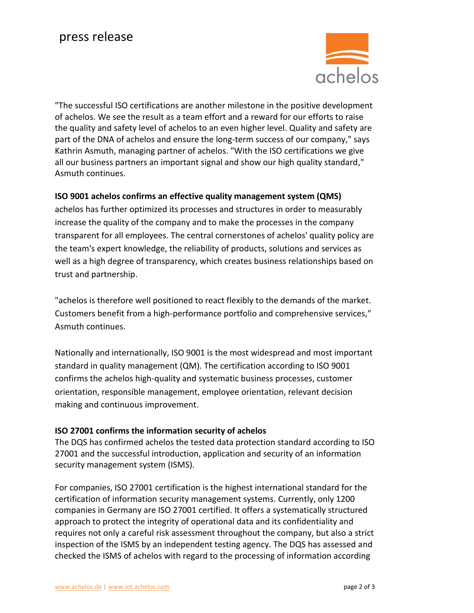

"The successful ISO certifications are another milestone in the positive development of achelos. We see the result as a team effort and a reward for our efforts to raise the quality and safety level of achelos to an even higher level. Quality and safety are part of the DNA of achelos and ensure the long-term success of our company," says Kathrin Asmuth, managing partner of achelos. "With the ISO certifications we give all our business partners an important signal and show our high quality standard," Asmuth continues.

## **ISO 9001 achelos confirms an effective quality management system (QMS)**

achelos has further optimized its processes and structures in order to measurably increase the quality of the company and to make the processes in the company transparent for all employees. The central cornerstones of achelos' quality policy are the team's expert knowledge, the reliability of products, solutions and services as well as a high degree of transparency, which creates business relationships based on trust and partnership.

"achelos is therefore well positioned to react flexibly to the demands of the market. Customers benefit from a high-performance portfolio and comprehensive services," Asmuth continues.

Nationally and internationally, ISO 9001 is the most widespread and most important standard in quality management (QM). The certification according to ISO 9001 confirms the achelos high-quality and systematic business processes, customer orientation, responsible management, employee orientation, relevant decision making and continuous improvement.

## **ISO 27001 confirms the information security of achelos**

The DQS has confirmed achelos the tested data protection standard according to ISO 27001 and the successful introduction, application and security of an information security management system (ISMS).

For companies, ISO 27001 certification is the highest international standard for the certification of information security management systems. Currently, only 1200 companies in Germany are ISO 27001 certified. It offers a systematically structured approach to protect the integrity of operational data and its confidentiality and requires not only a careful risk assessment throughout the company, but also a strict inspection of the ISMS by an independent testing agency. The DQS has assessed and checked the ISMS of achelos with regard to the processing of information according